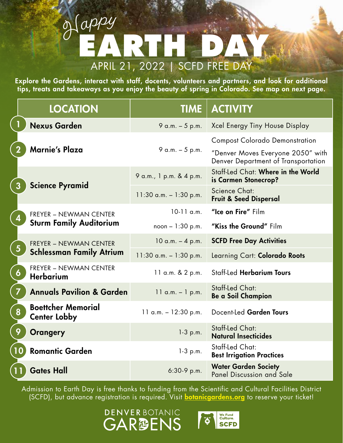## APRIL 21, 2022 | SCFD FREE DAY **EARTH DAY** <sup>H</sup>app<sup>y</sup>

Explore the Gardens, interact with staff, docents, volunteers and partners, and look for additional tips, treats and takeaways as you enjoy the beauty of spring in Colorado. See map on next page.

|                  | <b>LOCATION</b>                                                  | <b>TIME</b>               | <b>ACTIVITY</b>                                                          |
|------------------|------------------------------------------------------------------|---------------------------|--------------------------------------------------------------------------|
|                  | <b>Nexus Garden</b>                                              | 9 a.m. - 5 p.m.           | Xcel Energy Tiny House Display                                           |
|                  | <b>Marnie's Plaza</b>                                            | 9 a.m. $-5$ p.m.          | <b>Compost Colorado Demonstration</b>                                    |
|                  |                                                                  |                           | "Denver Moves Everyone 2050" with<br>Denver Department of Transportation |
|                  | <b>Science Pyramid</b>                                           | 9 a.m., 1 p.m. & 4 p.m.   | Staff-Led Chat: Where in the World<br>is Carmen Stonecrop?               |
|                  |                                                                  | $11:30$ a.m. $-1:30$ p.m. | Science Chat:<br><b>Fruit &amp; Seed Dispersal</b>                       |
|                  | <b>FREYER - NEWMAN CENTER</b><br><b>Sturm Family Auditorium</b>  | $10-11$ a.m.              | "Ice on Fire" Film                                                       |
|                  |                                                                  | $noon - 1:30 p.m.$        | "Kiss the Ground" Film                                                   |
| $\overline{5}$   | <b>FREYER - NEWMAN CENTER</b><br><b>Schlessman Family Atrium</b> | $10$ a.m. $-$ 4 p.m.      | <b>SCFD Free Day Activities</b>                                          |
|                  |                                                                  | $11:30$ a.m. $-1:30$ p.m. | Learning Cart: Colorado Roots                                            |
| $\boldsymbol{6}$ | <b>FREYER - NEWMAN CENTER</b><br><b>Herbarium</b>                | 11 a.m. & 2 p.m.          | <b>Staff-Led Herbarium Tours</b>                                         |
| $\overline{7}$   | <b>Annuals Pavilion &amp; Garden</b>                             | $11$ a.m. $-1$ p.m.       | <b>Staff-Led Chat:</b><br><b>Be a Soil Champion</b>                      |
| 8                | <b>Boettcher Memorial</b><br><b>Center Lobby</b>                 | $11$ a.m. $- 12:30$ p.m.  | Docent-Led Garden Tours                                                  |
| 9                | <b>Orangery</b>                                                  | $1-3$ p.m.                | <b>Staff-Led Chat:</b><br><b>Natural Insecticides</b>                    |
| 10               | <b>Romantic Garden</b>                                           | $1-3$ p.m.                | <b>Staff-Led Chat:</b><br><b>Best Irrigation Practices</b>               |
|                  | <b>Gates Hall</b>                                                | 6:30-9 p.m.               | <b>Water Garden Society</b><br>Panel Discussion and Sale                 |

Admission to Earth Day is free thanks to funding from the Scientific and Cultural Facilities District (SCFD), but advance registration is required. Visit **[botanicgardens.org](https://catalog.botanicgardens.org/DateSelection.aspx?item=4383&_ga=2.128592652.1643664232.1650036725-917822161.1647020909)** to reserve your ticket!